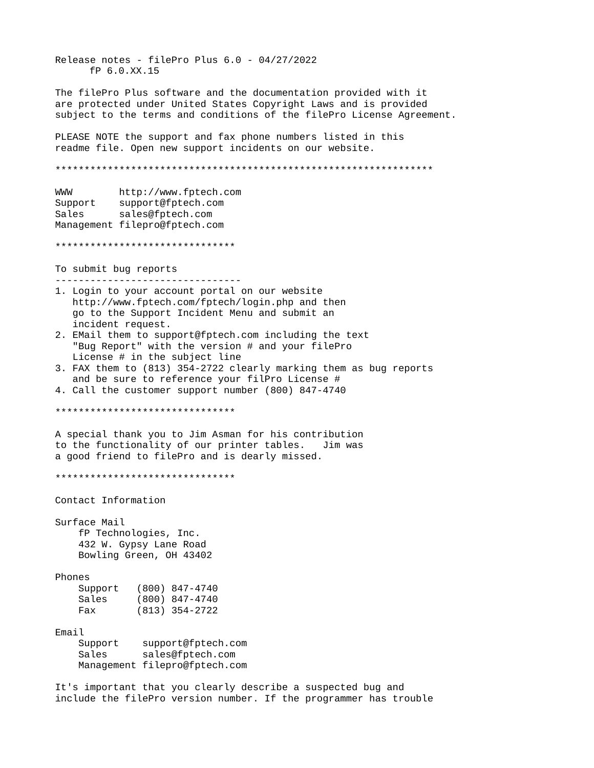Release notes - filePro Plus 6.0 - 04/27/2022 fP 6.0.XX.15 The filePro Plus software and the documentation provided with it are protected under United States Copyright Laws and is provided subject to the terms and conditions of the filePro License Agreement. PLEASE NOTE the support and fax phone numbers listed in this readme file. Open new support incidents on our website. \*\*\*\*\*\*\*\*\*\*\*\*\*\*\*\*\*\*\*\*\*\*\*\*\*\*\*\*\*\*\*\*\*\*\*\*\*\*\*\*\*\*\*\*\*\*\*\*\*\*\*\*\*\*\*\*\*\*\*\*\*\*\*\*\* WWW http://www.fptech.com Support support@fptech.com Sales sales@fptech.com Management filepro@fptech.com \*\*\*\*\*\*\*\*\*\*\*\*\*\*\*\*\*\*\*\*\*\*\*\*\*\*\*\*\*\*\* To submit bug reports -------------------------------- 1. Login to your account portal on our website http://www.fptech.com/fptech/login.php and then go to the Support Incident Menu and submit an incident request. 2. EMail them to support@fptech.com including the text "Bug Report" with the version # and your filePro License # in the subject line 3. FAX them to (813) 354-2722 clearly marking them as bug reports and be sure to reference your filPro License # 4. Call the customer support number (800) 847-4740 \*\*\*\*\*\*\*\*\*\*\*\*\*\*\*\*\*\*\*\*\*\*\*\*\*\*\*\*\*\*\* A special thank you to Jim Asman for his contribution to the functionality of our printer tables. Jim was a good friend to filePro and is dearly missed. \*\*\*\*\*\*\*\*\*\*\*\*\*\*\*\*\*\*\*\*\*\*\*\*\*\*\*\*\*\*\* Contact Information Surface Mail fP Technologies, Inc. 432 W. Gypsy Lane Road Bowling Green, OH 43402 Phones Support (800) 847-4740 Sales (800) 847-4740 Fax (813) 354-2722 Email Support support@fptech.com Sales sales@fptech.com Management filepro@fptech.com It's important that you clearly describe a suspected bug and

include the filePro version number. If the programmer has trouble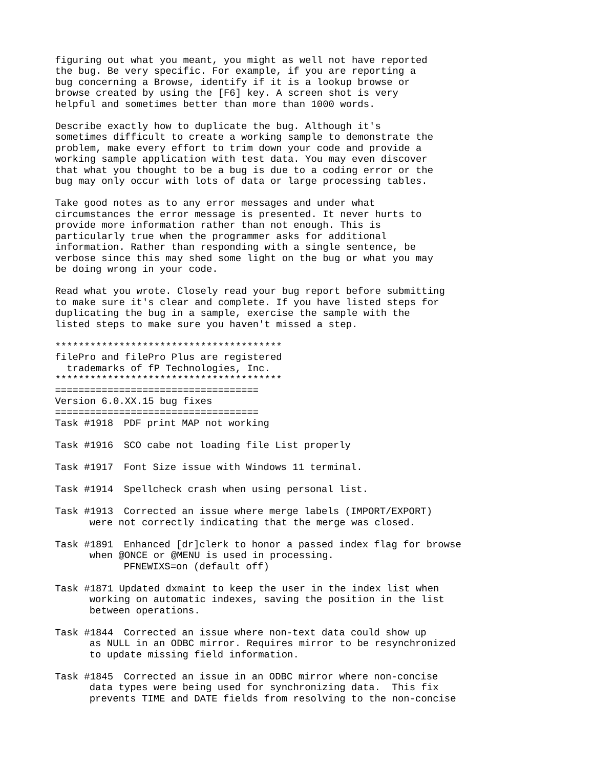figuring out what you meant, you might as well not have reported the bug. Be very specific. For example, if you are reporting a bug concerning a Browse, identify if it is a lookup browse or browse created by using the [F6] key. A screen shot is very helpful and sometimes better than more than 1000 words.

Describe exactly how to duplicate the bug. Although it's sometimes difficult to create a working sample to demonstrate the problem, make every effort to trim down your code and provide a working sample application with test data. You may even discover that what you thought to be a bug is due to a coding error or the bug may only occur with lots of data or large processing tables.

Take good notes as to any error messages and under what circumstances the error message is presented. It never hurts to provide more information rather than not enough. This is particularly true when the programmer asks for additional information. Rather than responding with a single sentence, be verbose since this may shed some light on the bug or what you may be doing wrong in your code.

Read what you wrote. Closely read your bug report before submitting to make sure it's clear and complete. If you have listed steps for duplicating the bug in a sample, exercise the sample with the listed steps to make sure you haven't missed a step.

\*\*\*\*\*\*\*\*\*\*\*\*\*\*\*\*\*\*\*\*\*\*\*\*\*\*\*\*\*\*\*\*\*\*\*\*\*\*\*

filePro and filePro Plus are registered trademarks of fP Technologies, Inc. \*\*\*\*\*\*\*\*\*\*\*\*\*\*\*\*\*\*\*\*\*\*\*\*\*\*\*\*\*\*\*\*\*\*\*\*\*\*\*

===================================

Version 6.0.XX.15 bug fixes =================================== Task #1918 PDF print MAP not working

Task #1916 SCO cabe not loading file List properly

Task #1917 Font Size issue with Windows 11 terminal.

- Task #1914 Spellcheck crash when using personal list.
- Task #1913 Corrected an issue where merge labels (IMPORT/EXPORT) were not correctly indicating that the merge was closed.
- Task #1891 Enhanced [dr]clerk to honor a passed index flag for browse when @ONCE or @MENU is used in processing. PFNEWIXS=on (default off)
- Task #1871 Updated dxmaint to keep the user in the index list when working on automatic indexes, saving the position in the list between operations.
- Task #1844 Corrected an issue where non-text data could show up as NULL in an ODBC mirror. Requires mirror to be resynchronized to update missing field information.
- Task #1845 Corrected an issue in an ODBC mirror where non-concise data types were being used for synchronizing data. This fix prevents TIME and DATE fields from resolving to the non-concise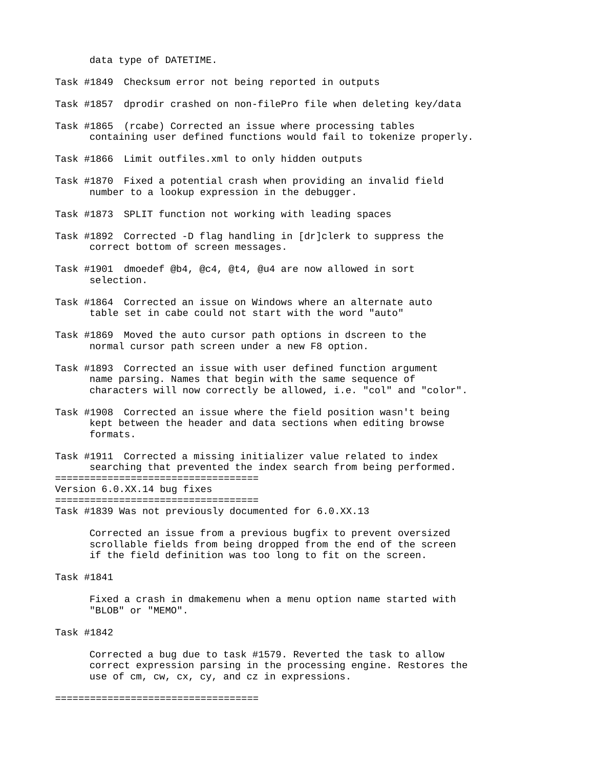data type of DATETIME.

Task #1849 Checksum error not being reported in outputs

Task #1857 dprodir crashed on non-filePro file when deleting key/data

Task #1865 (rcabe) Corrected an issue where processing tables containing user defined functions would fail to tokenize properly.

Task #1866 Limit outfiles.xml to only hidden outputs

- Task #1870 Fixed a potential crash when providing an invalid field number to a lookup expression in the debugger.
- Task #1873 SPLIT function not working with leading spaces
- Task #1892 Corrected -D flag handling in [dr]clerk to suppress the correct bottom of screen messages.
- Task #1901 dmoedef @b4, @c4, @t4, @u4 are now allowed in sort selection.
- Task #1864 Corrected an issue on Windows where an alternate auto table set in cabe could not start with the word "auto"
- Task #1869 Moved the auto cursor path options in dscreen to the normal cursor path screen under a new F8 option.
- Task #1893 Corrected an issue with user defined function argument name parsing. Names that begin with the same sequence of characters will now correctly be allowed, i.e. "col" and "color".
- Task #1908 Corrected an issue where the field position wasn't being kept between the header and data sections when editing browse formats.
- Task #1911 Corrected a missing initializer value related to index searching that prevented the index search from being performed. ===================================

Version 6.0.XX.14 bug fixes

===================================

Task #1839 Was not previously documented for 6.0.XX.13

Corrected an issue from a previous bugfix to prevent oversized scrollable fields from being dropped from the end of the screen if the field definition was too long to fit on the screen.

Task #1841

Fixed a crash in dmakemenu when a menu option name started with "BLOB" or "MEMO".

Task #1842

Corrected a bug due to task #1579. Reverted the task to allow correct expression parsing in the processing engine. Restores the use of cm, cw, cx, cy, and cz in expressions.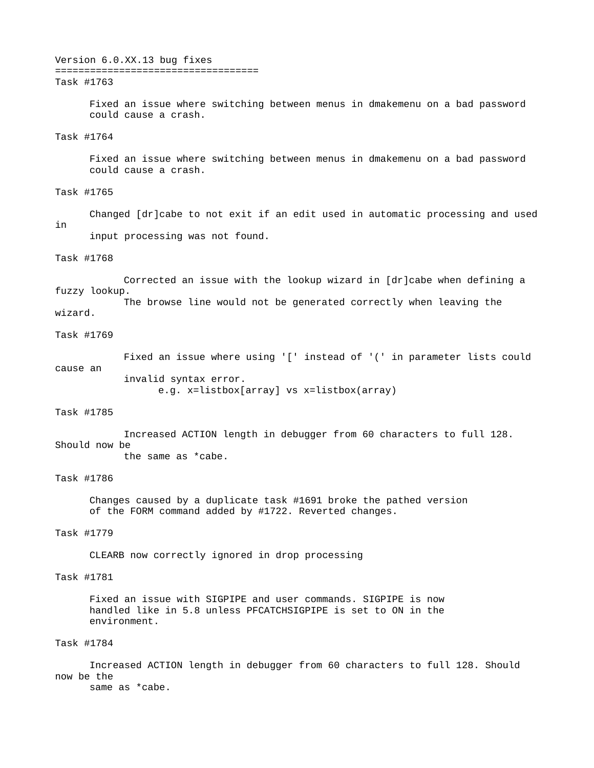#### Version 6.0.XX.13 bug fixes ===================================

#### Task #1763

Fixed an issue where switching between menus in dmakemenu on a bad password could cause a crash.

## Task #1764

Fixed an issue where switching between menus in dmakemenu on a bad password could cause a crash.

# Task #1765

Changed [dr]cabe to not exit if an edit used in automatic processing and used in input processing was not found.

## Task #1768

Corrected an issue with the lookup wizard in [dr]cabe when defining a fuzzy lookup.

The browse line would not be generated correctly when leaving the wizard.

# Task #1769

Fixed an issue where using '[' instead of '(' in parameter lists could cause an invalid syntax error. e.g. x=listbox[array] vs x=listbox(array)

#### Task #1785

Increased ACTION length in debugger from 60 characters to full 128. Should now be

the same as \*cabe.

## Task #1786

Changes caused by a duplicate task #1691 broke the pathed version of the FORM command added by #1722. Reverted changes.

## Task #1779

CLEARB now correctly ignored in drop processing

# Task #1781

Fixed an issue with SIGPIPE and user commands. SIGPIPE is now handled like in 5.8 unless PFCATCHSIGPIPE is set to ON in the environment.

## Task #1784

Increased ACTION length in debugger from 60 characters to full 128. Should now be the

same as \*cabe.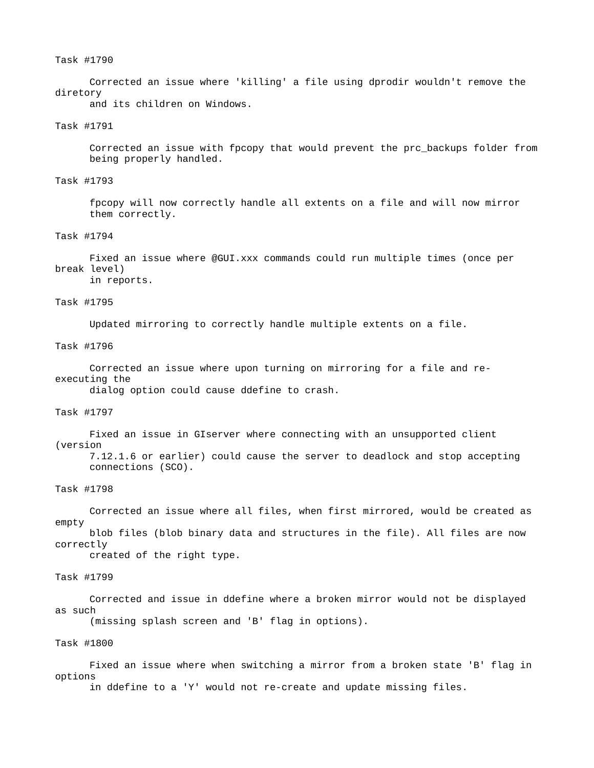### Task #1790

Corrected an issue where 'killing' a file using dprodir wouldn't remove the diretory

and its children on Windows.

# Task #1791

Corrected an issue with fpcopy that would prevent the prc\_backups folder from being properly handled.

## Task #1793

fpcopy will now correctly handle all extents on a file and will now mirror them correctly.

## Task #1794

Fixed an issue where @GUI.xxx commands could run multiple times (once per break level)

in reports.

## Task #1795

Updated mirroring to correctly handle multiple extents on a file.

## Task #1796

Corrected an issue where upon turning on mirroring for a file and reexecuting the

dialog option could cause ddefine to crash.

## Task #1797

Fixed an issue in GIserver where connecting with an unsupported client

(version

7.12.1.6 or earlier) could cause the server to deadlock and stop accepting connections (SCO).

#### Task #1798

Corrected an issue where all files, when first mirrored, would be created as empty blob files (blob binary data and structures in the file). All files are now

correctly created of the right type.

# Task #1799

Corrected and issue in ddefine where a broken mirror would not be displayed as such

(missing splash screen and 'B' flag in options).

## Task #1800

Fixed an issue where when switching a mirror from a broken state 'B' flag in options in ddefine to a 'Y' would not re-create and update missing files.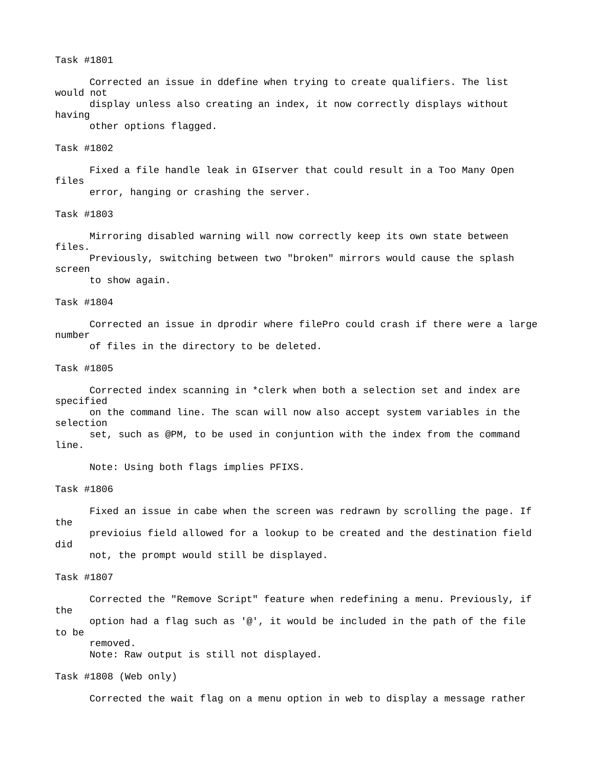## Task #1801

Corrected an issue in ddefine when trying to create qualifiers. The list would not display unless also creating an index, it now correctly displays without having

other options flagged.

## Task #1802

Fixed a file handle leak in GIserver that could result in a Too Many Open files error, hanging or crashing the server.

# Task #1803

Mirroring disabled warning will now correctly keep its own state between files. Previously, switching between two "broken" mirrors would cause the splash

screen

to show again.

Task #1804

Corrected an issue in dprodir where filePro could crash if there were a large number of files in the directory to be deleted.

#### Task #1805

Corrected index scanning in \*clerk when both a selection set and index are specified on the command line. The scan will now also accept system variables in the selection set, such as @PM, to be used in conjuntion with the index from the command line.

Note: Using both flags implies PFIXS.

#### Task #1806

Fixed an issue in cabe when the screen was redrawn by scrolling the page. If the previoius field allowed for a lookup to be created and the destination field did not, the prompt would still be displayed.

```
Task #1807
```
Corrected the "Remove Script" feature when redefining a menu. Previously, if the option had a flag such as '@', it would be included in the path of the file to be removed.

Note: Raw output is still not displayed.

Task #1808 (Web only)

Corrected the wait flag on a menu option in web to display a message rather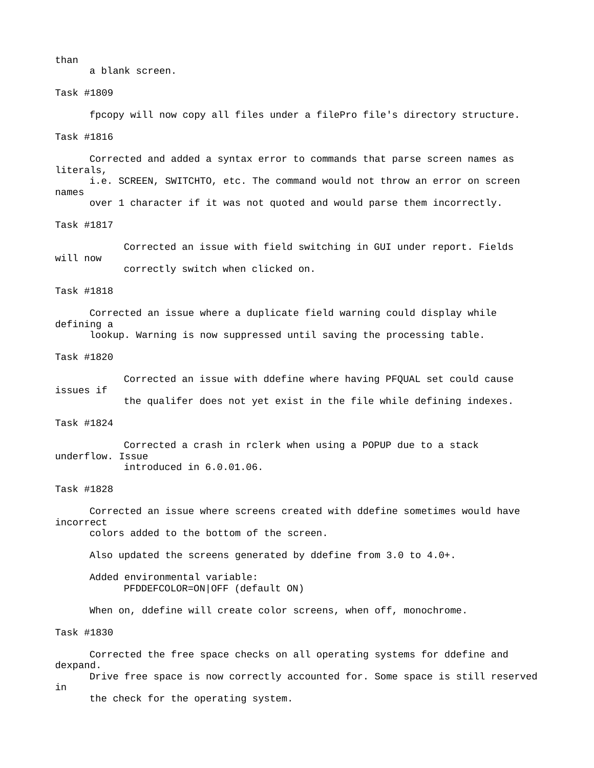than

a blank screen.

Task #1809

fpcopy will now copy all files under a filePro file's directory structure. Task #1816

Corrected and added a syntax error to commands that parse screen names as literals, i.e. SCREEN, SWITCHTO, etc. The command would not throw an error on screen names over 1 character if it was not quoted and would parse them incorrectly.

Task #1817

Corrected an issue with field switching in GUI under report. Fields will now correctly switch when clicked on.

Task #1818

Corrected an issue where a duplicate field warning could display while defining a

lookup. Warning is now suppressed until saving the processing table.

Task #1820

Corrected an issue with ddefine where having PFQUAL set could cause issues if the qualifer does not yet exist in the file while defining indexes.

Task #1824

Corrected a crash in rclerk when using a POPUP due to a stack underflow. Issue introduced in 6.0.01.06.

Task #1828

Corrected an issue where screens created with ddefine sometimes would have incorrect

colors added to the bottom of the screen.

Also updated the screens generated by ddefine from 3.0 to 4.0+.

Added environmental variable: PFDDEFCOLOR=ON|OFF (default ON)

When on, ddefine will create color screens, when off, monochrome.

Task #1830

Corrected the free space checks on all operating systems for ddefine and dexpand.

Drive free space is now correctly accounted for. Some space is still reserved in

the check for the operating system.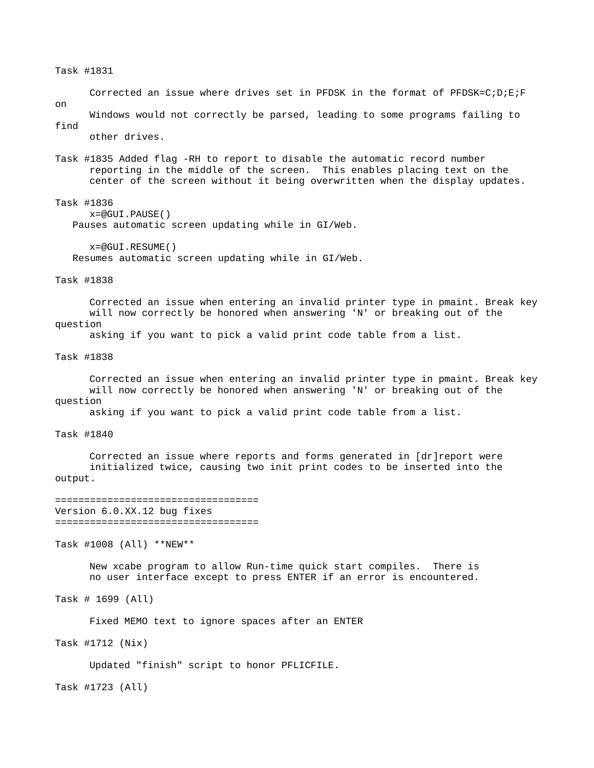Task #1831

Corrected an issue where drives set in PFDSK in the format of PFDSK=C;D;E;F on

Windows would not correctly be parsed, leading to some programs failing to find

other drives.

Task #1835 Added flag -RH to report to disable the automatic record number reporting in the middle of the screen. This enables placing text on the center of the screen without it being overwritten when the display updates.

Task #1836

 $x=@GUT.PAUSE()$ Pauses automatic screen updating while in GI/Web.

x=@GUI.RESUME() Resumes automatic screen updating while in GI/Web.

Task #1838

Corrected an issue when entering an invalid printer type in pmaint. Break key will now correctly be honored when answering 'N' or breaking out of the question

asking if you want to pick a valid print code table from a list.

Task #1838

Corrected an issue when entering an invalid printer type in pmaint. Break key will now correctly be honored when answering 'N' or breaking out of the question

asking if you want to pick a valid print code table from a list.

Task #1840

Corrected an issue where reports and forms generated in [dr]report were initialized twice, causing two init print codes to be inserted into the output.

### =================================== Version 6.0.XX.12 bug fixes ===================================

Task #1008 (All) \*\*NEW\*\*

New xcabe program to allow Run-time quick start compiles. There is no user interface except to press ENTER if an error is encountered.

Task # 1699 (All)

Fixed MEMO text to ignore spaces after an ENTER

Task #1712 (Nix)

Updated "finish" script to honor PFLICFILE.

Task #1723 (All)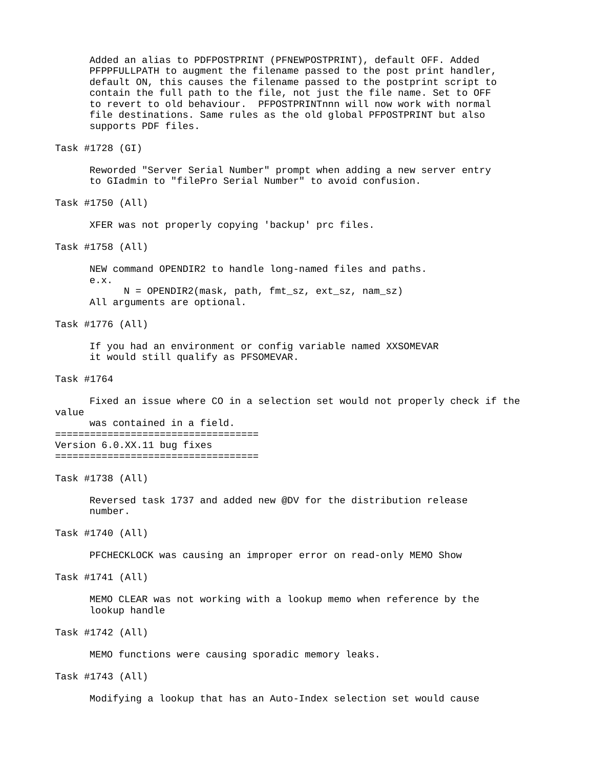Added an alias to PDFPOSTPRINT (PFNEWPOSTPRINT), default OFF. Added PFPPFULLPATH to augment the filename passed to the post print handler, default ON, this causes the filename passed to the postprint script to contain the full path to the file, not just the file name. Set to OFF to revert to old behaviour. PFPOSTPRINTnnn will now work with normal file destinations. Same rules as the old global PFPOSTPRINT but also supports PDF files.

Task #1728 (GI)

Reworded "Server Serial Number" prompt when adding a new server entry to GIadmin to "filePro Serial Number" to avoid confusion.

Task #1750 (All)

XFER was not properly copying 'backup' prc files.

Task #1758 (All)

NEW command OPENDIR2 to handle long-named files and paths. e.x.  $N =$  OPENDIR2(mask, path, fmt\_sz, ext\_sz, nam\_sz)

All arguments are optional.

Task #1776 (All)

If you had an environment or config variable named XXSOMEVAR it would still qualify as PFSOMEVAR.

Task #1764

Fixed an issue where CO in a selection set would not properly check if the value

was contained in a field. =================================== Version 6.0.XX.11 bug fixes ===================================

Task #1738 (All)

Reversed task 1737 and added new @DV for the distribution release number.

Task #1740 (All)

PFCHECKLOCK was causing an improper error on read-only MEMO Show

Task #1741 (All)

MEMO CLEAR was not working with a lookup memo when reference by the lookup handle

Task #1742 (All)

MEMO functions were causing sporadic memory leaks.

Task #1743 (All)

Modifying a lookup that has an Auto-Index selection set would cause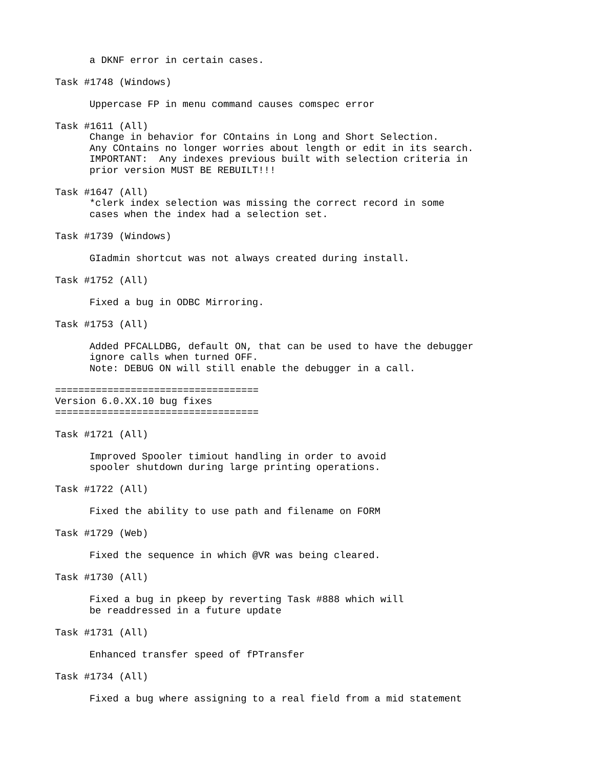a DKNF error in certain cases.

Task #1748 (Windows)

Uppercase FP in menu command causes comspec error

Task #1611 (All)

Change in behavior for COntains in Long and Short Selection. Any COntains no longer worries about length or edit in its search. IMPORTANT: Any indexes previous built with selection criteria in prior version MUST BE REBUILT!!!

Task #1647 (All) \*clerk index selection was missing the correct record in some cases when the index had a selection set.

Task #1739 (Windows)

GIadmin shortcut was not always created during install.

Task #1752 (All)

Fixed a bug in ODBC Mirroring.

Task #1753 (All)

Added PFCALLDBG, default ON, that can be used to have the debugger ignore calls when turned OFF. Note: DEBUG ON will still enable the debugger in a call.

```
===================================
```
Version 6.0.XX.10 bug fixes ===================================

Task #1721 (All)

Improved Spooler timiout handling in order to avoid spooler shutdown during large printing operations.

Task #1722 (All)

Fixed the ability to use path and filename on FORM

Task #1729 (Web)

Fixed the sequence in which @VR was being cleared.

Task #1730 (All)

Fixed a bug in pkeep by reverting Task #888 which will be readdressed in a future update

Task #1731 (All)

Enhanced transfer speed of fPTransfer

Task #1734 (All)

Fixed a bug where assigning to a real field from a mid statement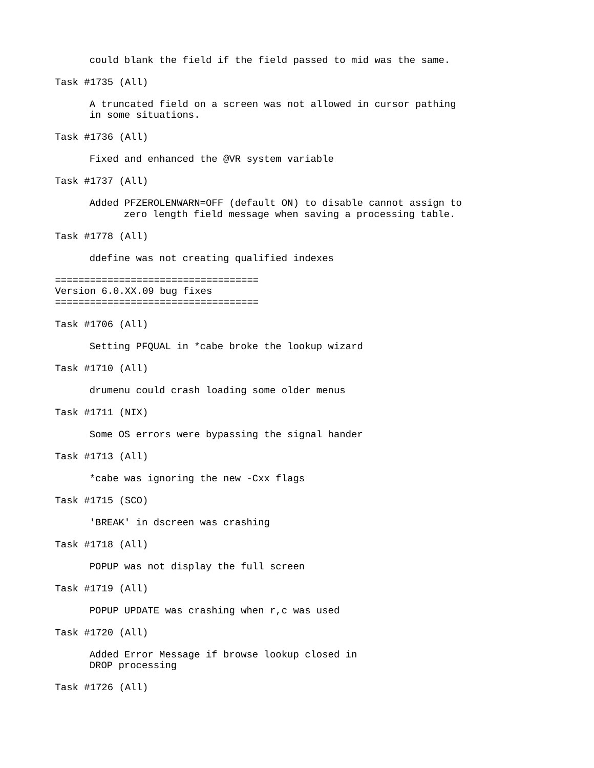```
could blank the field if the field passed to mid was the same.
Task #1735 (All)
      A truncated field on a screen was not allowed in cursor pathing
      in some situations.
Task #1736 (All)
      Fixed and enhanced the @VR system variable
Task #1737 (All)
      Added PFZEROLENWARN=OFF (default ON) to disable cannot assign to
            zero length field message when saving a processing table.
Task #1778 (All)
      ddefine was not creating qualified indexes
===================================
Version 6.0.XX.09 bug fixes
===================================
Task #1706 (All) 
      Setting PFQUAL in *cabe broke the lookup wizard
Task #1710 (All)
      drumenu could crash loading some older menus
Task #1711 (NIX)
      Some OS errors were bypassing the signal hander
Task #1713 (All)
      *cabe was ignoring the new -Cxx flags
Task #1715 (SCO)
      'BREAK' in dscreen was crashing
Task #1718 (All)
      POPUP was not display the full screen
Task #1719 (All)
      POPUP UPDATE was crashing when r,c was used
Task #1720 (All)
      Added Error Message if browse lookup closed in
      DROP processing
Task #1726 (All)
```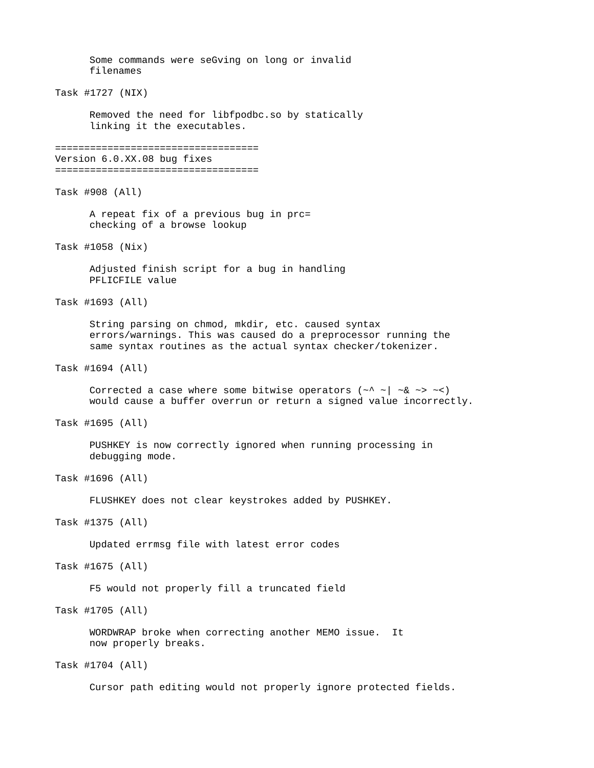Some commands were seGving on long or invalid filenames Task #1727 (NIX) Removed the need for libfpodbc.so by statically linking it the executables. =================================== Version 6.0.XX.08 bug fixes =================================== Task #908 (All) A repeat fix of a previous bug in prc= checking of a browse lookup Task #1058 (Nix) Adjusted finish script for a bug in handling PFLICETLE value Task #1693 (All) String parsing on chmod, mkdir, etc. caused syntax errors/warnings. This was caused do a preprocessor running the same syntax routines as the actual syntax checker/tokenizer. Task #1694 (All) Corrected a case where some bitwise operators (~^ ~| ~& ~> ~<) would cause a buffer overrun or return a signed value incorrectly. Task #1695 (All) PUSHKEY is now correctly ignored when running processing in debugging mode. Task #1696 (All) FLUSHKEY does not clear keystrokes added by PUSHKEY. Task #1375 (All) Updated errmsg file with latest error codes Task #1675 (All) F5 would not properly fill a truncated field Task #1705 (All) WORDWRAP broke when correcting another MEMO issue. It now properly breaks. Task #1704 (All) Cursor path editing would not properly ignore protected fields.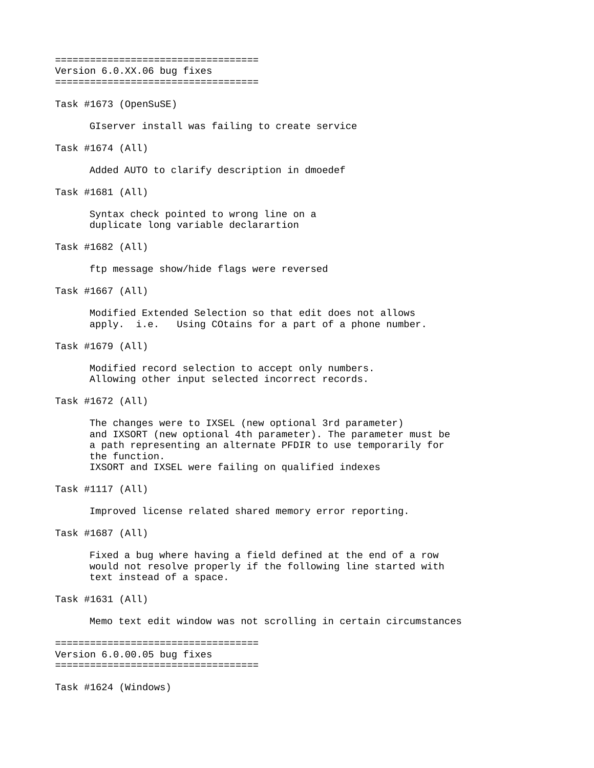=================================== Version 6.0.XX.06 bug fixes ===================================

Task #1673 (OpenSuSE)

GIserver install was failing to create service

Task #1674 (All)

Added AUTO to clarify description in dmoedef

Task #1681 (All)

Syntax check pointed to wrong line on a duplicate long variable declarartion

Task #1682 (All)

ftp message show/hide flags were reversed

Task #1667 (All)

Modified Extended Selection so that edit does not allows apply. i.e. Using COtains for a part of a phone number.

Task #1679 (All)

Modified record selection to accept only numbers. Allowing other input selected incorrect records.

Task #1672 (All)

The changes were to IXSEL (new optional 3rd parameter) and IXSORT (new optional 4th parameter). The parameter must be a path representing an alternate PFDIR to use temporarily for the function. IXSORT and IXSEL were failing on qualified indexes

Task #1117 (All)

Improved license related shared memory error reporting.

Task #1687 (All)

Fixed a bug where having a field defined at the end of a row would not resolve properly if the following line started with text instead of a space.

Task #1631 (All)

Memo text edit window was not scrolling in certain circumstances

=================================== Version 6.0.00.05 bug fixes ===================================

Task #1624 (Windows)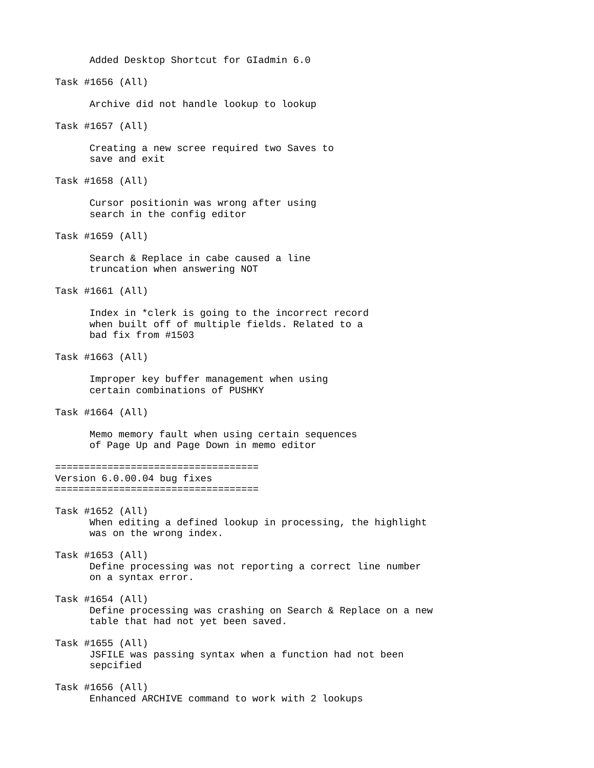Added Desktop Shortcut for GIadmin 6.0 Task #1656 (All) Archive did not handle lookup to lookup Task #1657 (All) Creating a new scree required two Saves to save and exit Task #1658 (All) Cursor positionin was wrong after using search in the config editor Task #1659 (All) Search & Replace in cabe caused a line truncation when answering NOT Task #1661 (All) Index in \*clerk is going to the incorrect record when built off of multiple fields. Related to a bad fix from #1503 Task #1663 (All) Improper key buffer management when using certain combinations of PUSHKY Task #1664 (All) Memo memory fault when using certain sequences of Page Up and Page Down in memo editor =================================== Version 6.0.00.04 bug fixes =================================== Task #1652 (All) When editing a defined lookup in processing, the highlight was on the wrong index. Task #1653 (All) Define processing was not reporting a correct line number on a syntax error. Task #1654 (All) Define processing was crashing on Search & Replace on a new table that had not yet been saved. Task #1655 (All) JSFILE was passing syntax when a function had not been sepcified Task #1656 (All) Enhanced ARCHIVE command to work with 2 lookups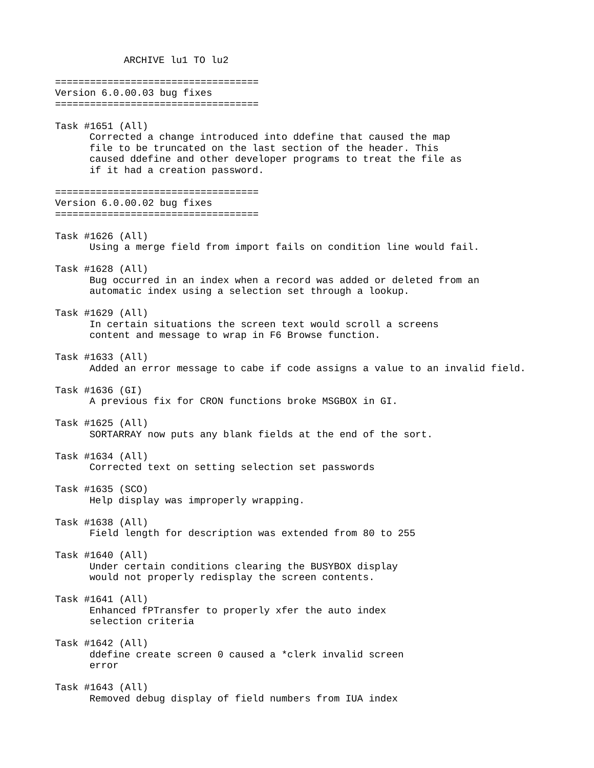ARCHIVE lu1 TO lu2

=================================== Version 6.0.00.03 bug fixes =================================== Task #1651 (All) Corrected a change introduced into ddefine that caused the map file to be truncated on the last section of the header. This caused ddefine and other developer programs to treat the file as if it had a creation password. =================================== Version 6.0.00.02 bug fixes =================================== Task #1626 (All) Using a merge field from import fails on condition line would fail. Task #1628 (All) Bug occurred in an index when a record was added or deleted from an automatic index using a selection set through a lookup. Task #1629 (All) In certain situations the screen text would scroll a screens content and message to wrap in F6 Browse function. Task #1633 (All) Added an error message to cabe if code assigns a value to an invalid field. Task #1636 (GI) A previous fix for CRON functions broke MSGBOX in GI. Task #1625 (All) SORTARRAY now puts any blank fields at the end of the sort. Task #1634 (All) Corrected text on setting selection set passwords Task #1635 (SCO) Help display was improperly wrapping. Task #1638 (All) Field length for description was extended from 80 to 255 Task #1640 (All) Under certain conditions clearing the BUSYBOX display would not properly redisplay the screen contents. Task #1641 (All) Enhanced fPTransfer to properly xfer the auto index selection criteria Task #1642 (All) ddefine create screen 0 caused a \*clerk invalid screen error Task #1643 (All) Removed debug display of field numbers from IUA index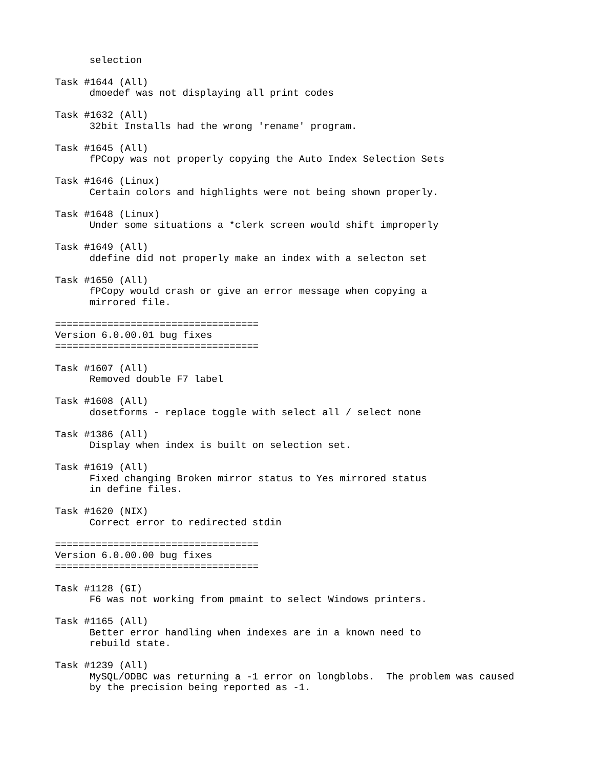selection Task #1644 (All) dmoedef was not displaying all print codes Task #1632 (All) 32bit Installs had the wrong 'rename' program. Task #1645 (All) fPCopy was not properly copying the Auto Index Selection Sets Task #1646 (Linux) Certain colors and highlights were not being shown properly. Task #1648 (Linux) Under some situations a \*clerk screen would shift improperly Task #1649 (All) ddefine did not properly make an index with a selecton set Task #1650 (All) fPCopy would crash or give an error message when copying a mirrored file. =================================== Version 6.0.00.01 bug fixes =================================== Task #1607 (All) Removed double F7 label Task #1608 (All) dosetforms - replace toggle with select all / select none Task #1386 (All) Display when index is built on selection set. Task #1619 (All) Fixed changing Broken mirror status to Yes mirrored status in define files. Task #1620 (NIX) Correct error to redirected stdin =================================== Version 6.0.00.00 bug fixes =================================== Task #1128 (GI) F6 was not working from pmaint to select Windows printers. Task #1165 (All) Better error handling when indexes are in a known need to rebuild state. Task #1239 (All) MySQL/ODBC was returning a -1 error on longblobs. The problem was caused by the precision being reported as -1.